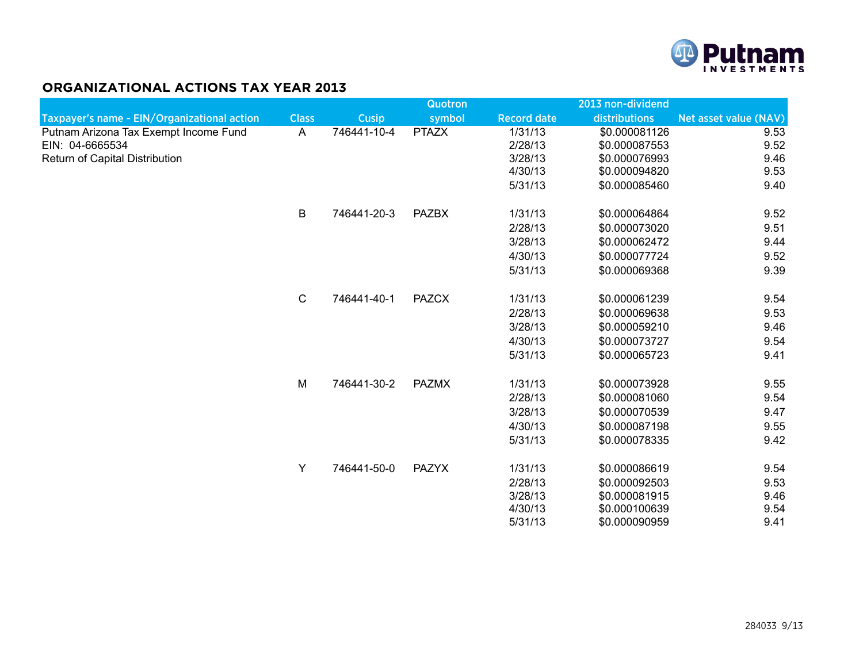

## **ORGANIZATIONAL ACTIONS TAX YEAR 2013**

|                                             |              |              | <b>Quotron</b> |                    | 2013 non-dividend |                       |
|---------------------------------------------|--------------|--------------|----------------|--------------------|-------------------|-----------------------|
| Taxpayer's name - EIN/Organizational action | <b>Class</b> | <b>Cusip</b> | symbol         | <b>Record date</b> | distributions     | Net asset value (NAV) |
| Putnam Arizona Tax Exempt Income Fund       | A            | 746441-10-4  | <b>PTAZX</b>   | 1/31/13            | \$0.000081126     | 9.53                  |
| EIN: 04-6665534                             |              |              |                | 2/28/13            | \$0.000087553     | 9.52                  |
| Return of Capital Distribution              |              |              |                | 3/28/13            | \$0.000076993     | 9.46                  |
|                                             |              |              |                | 4/30/13            | \$0.000094820     | 9.53                  |
|                                             |              |              |                | 5/31/13            | \$0.000085460     | 9.40                  |
|                                             | B            | 746441-20-3  | <b>PAZBX</b>   | 1/31/13            | \$0.000064864     | 9.52                  |
|                                             |              |              |                | 2/28/13            | \$0.000073020     | 9.51                  |
|                                             |              |              |                | 3/28/13            | \$0.000062472     | 9.44                  |
|                                             |              |              |                | 4/30/13            | \$0.000077724     | 9.52                  |
|                                             |              |              |                | 5/31/13            | \$0.000069368     | 9.39                  |
|                                             | $\mathsf C$  | 746441-40-1  | <b>PAZCX</b>   | 1/31/13            | \$0.000061239     | 9.54                  |
|                                             |              |              |                | 2/28/13            | \$0.000069638     | 9.53                  |
|                                             |              |              |                | 3/28/13            | \$0.000059210     | 9.46                  |
|                                             |              |              |                | 4/30/13            | \$0.000073727     | 9.54                  |
|                                             |              |              |                | 5/31/13            | \$0.000065723     | 9.41                  |
|                                             | M            | 746441-30-2  | <b>PAZMX</b>   | 1/31/13            | \$0.000073928     | 9.55                  |
|                                             |              |              |                | 2/28/13            | \$0.000081060     | 9.54                  |
|                                             |              |              |                | 3/28/13            | \$0.000070539     | 9.47                  |
|                                             |              |              |                | 4/30/13            | \$0.000087198     | 9.55                  |
|                                             |              |              |                | 5/31/13            | \$0.000078335     | 9.42                  |
|                                             | Y            | 746441-50-0  | <b>PAZYX</b>   | 1/31/13            | \$0.000086619     | 9.54                  |
|                                             |              |              |                | 2/28/13            | \$0.000092503     | 9.53                  |
|                                             |              |              |                | 3/28/13            | \$0.000081915     | 9.46                  |
|                                             |              |              |                | 4/30/13            | \$0.000100639     | 9.54                  |
|                                             |              |              |                | 5/31/13            | \$0.000090959     | 9.41                  |